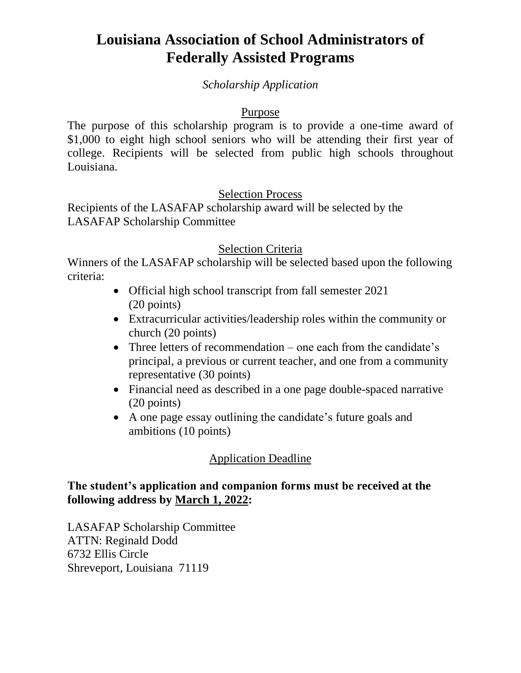# **Louisiana Association of School Administrators of Federally Assisted Programs**

#### *Scholarship Application*

#### Purpose

The purpose of this scholarship program is to provide a one-time award of \$1,000 to eight high school seniors who will be attending their first year of college. Recipients will be selected from public high schools throughout Louisiana.

#### Selection Process

Recipients of the LASAFAP scholarship award will be selected by the LASAFAP Scholarship Committee

#### Selection Criteria

Winners of the LASAFAP scholarship will be selected based upon the following criteria:

- Official high school transcript from fall semester 2021 (20 points)
- Extracurricular activities/leadership roles within the community or church (20 points)
- Three letters of recommendation one each from the candidate's principal, a previous or current teacher, and one from a community representative (30 points)
- Financial need as described in a one page double-spaced narrative (20 points)
- A one page essay outlining the candidate's future goals and ambitions (10 points)

## Application Deadline

#### **The student's application and companion forms must be received at the following address by March 1, 2022:**

LASAFAP Scholarship Committee ATTN: Reginald Dodd 6732 Ellis Circle Shreveport, Louisiana 71119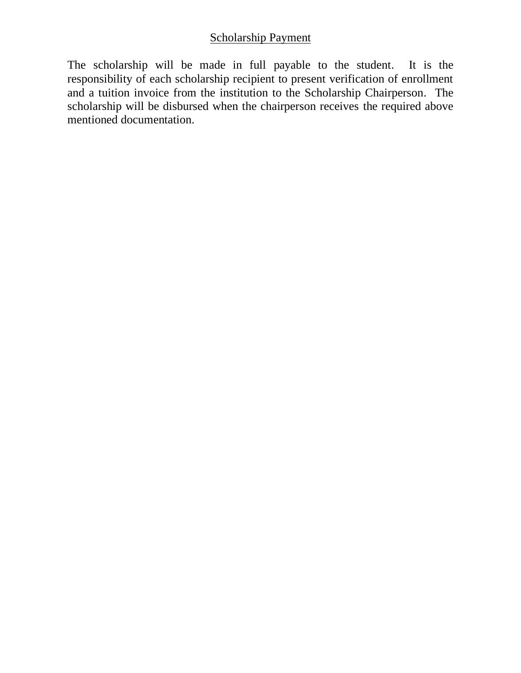# Scholarship Payment

The scholarship will be made in full payable to the student. It is the responsibility of each scholarship recipient to present verification of enrollment and a tuition invoice from the institution to the Scholarship Chairperson. The scholarship will be disbursed when the chairperson receives the required above mentioned documentation.